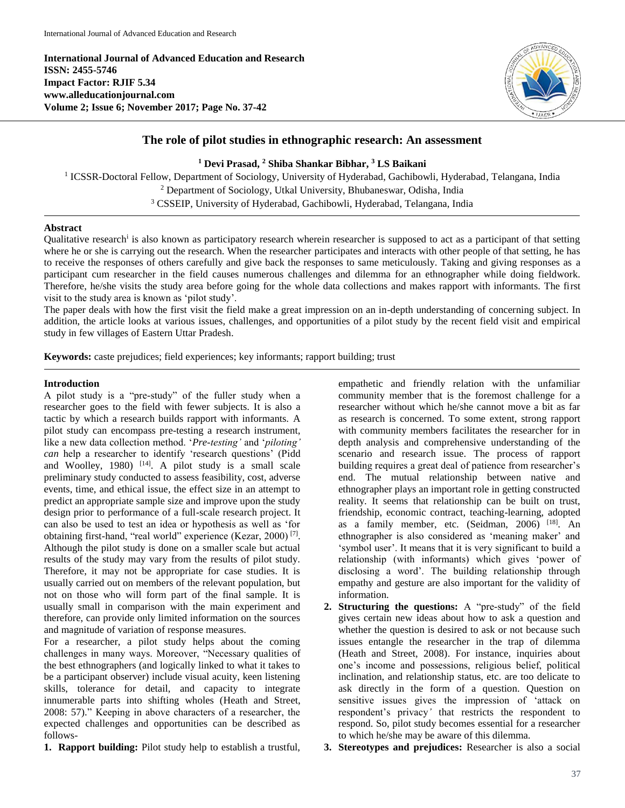**International Journal of Advanced Education and Research ISSN: 2455-5746 Impact Factor: RJIF 5.34 www.alleducationjournal.com Volume 2; Issue 6; November 2017; Page No. 37-42**



# **The role of pilot studies in ethnographic research: An assessment**

#### **<sup>1</sup> Devi Prasad, <sup>2</sup> Shiba Shankar Bibhar, <sup>3</sup> LS Baikani**

<sup>1</sup> ICSSR-Doctoral Fellow, Department of Sociology, University of Hyderabad, Gachibowli, Hyderabad, Telangana, India <sup>2</sup> Department of Sociology, Utkal University, Bhubaneswar, Odisha, India <sup>3</sup> CSSEIP, University of Hyderabad, Gachibowli, Hyderabad, Telangana, India

### **Abstract**

Qualitative research<sup>i</sup> is also known as participatory research wherein researcher is supposed to act as a participant of that setting where he or she is carrying out the research. When the researcher participates and interacts with other people of that setting, he has to receive the responses of others carefully and give back the responses to same meticulously. Taking and giving responses as a participant cum researcher in the field causes numerous challenges and dilemma for an ethnographer while doing fieldwork. Therefore, he/she visits the study area before going for the whole data collections and makes rapport with informants. The first visit to the study area is known as 'pilot study'.

The paper deals with how the first visit the field make a great impression on an in-depth understanding of concerning subject. In addition, the article looks at various issues, challenges, and opportunities of a pilot study by the recent field visit and empirical study in few villages of Eastern Uttar Pradesh.

**Keywords:** caste prejudices; field experiences; key informants; rapport building; trust

#### **Introduction**

A pilot study is a "pre-study" of the fuller study when a researcher goes to the field with fewer subjects. It is also a tactic by which a research builds rapport with informants. A pilot study can encompass pre-testing a research instrument, like a new data collection method. '*Pre-testing'* and '*piloting' can* help a researcher to identify 'research questions' (Pidd and Woolley, 1980)  $[14]$ . A pilot study is a small scale preliminary study conducted to assess feasibility, cost, adverse events, time, and ethical issue, the effect size in an attempt to predict an appropriate sample size and improve upon the study design prior to performance of a full-scale research project. It can also be used to test an idea or hypothesis as well as 'for obtaining first-hand, "real world" experience (Kezar, 2000)<sup>[7]</sup>. Although the pilot study is done on a smaller scale but actual results of the study may vary from the results of pilot study. Therefore, it may not be appropriate for case studies. It is usually carried out on members of the relevant population, but not on those who will form part of the final sample. It is usually small in comparison with the main experiment and therefore, can provide only limited information on the sources and magnitude of variation of response measures.

For a researcher, a pilot study helps about the coming challenges in many ways. Moreover, "Necessary qualities of the best ethnographers (and logically linked to what it takes to be a participant observer) include visual acuity, keen listening skills, tolerance for detail, and capacity to integrate innumerable parts into shifting wholes (Heath and Street, 2008: 57)." Keeping in above characters of a researcher, the expected challenges and opportunities can be described as follows-

**1. Rapport building:** Pilot study help to establish a trustful,

empathetic and friendly relation with the unfamiliar community member that is the foremost challenge for a researcher without which he/she cannot move a bit as far as research is concerned. To some extent, strong rapport with community members facilitates the researcher for in depth analysis and comprehensive understanding of the scenario and research issue. The process of rapport building requires a great deal of patience from researcher's end. The mutual relationship between native and ethnographer plays an important role in getting constructed reality. It seems that relationship can be built on trust, friendship, economic contract, teaching-learning, adopted as a family member, etc. (Seidman, 2006) <sup>[18]</sup>. An ethnographer is also considered as 'meaning maker' and 'symbol user'. It means that it is very significant to build a relationship (with informants) which gives 'power of disclosing a word'. The building relationship through empathy and gesture are also important for the validity of information.

- **2. Structuring the questions:** A "pre-study" of the field gives certain new ideas about how to ask a question and whether the question is desired to ask or not because such issues entangle the researcher in the trap of dilemma (Heath and Street, 2008). For instance, inquiries about one's income and possessions, religious belief, political inclination, and relationship status, etc. are too delicate to ask directly in the form of a question. Question on sensitive issues gives the impression of 'attack on respondent's privacy*'* that restricts the respondent to respond. So, pilot study becomes essential for a researcher to which he/she may be aware of this dilemma.
- **3. Stereotypes and prejudices:** Researcher is also a social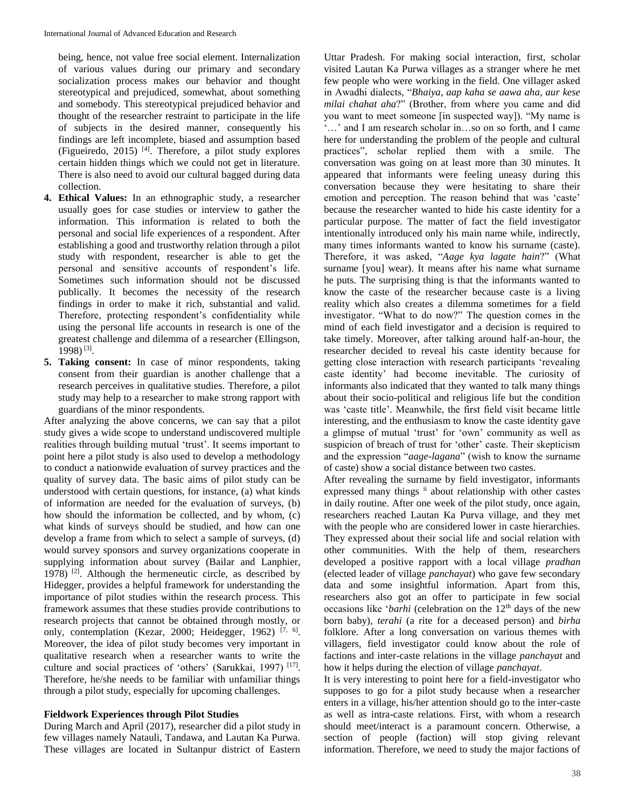being, hence, not value free social element. Internalization of various values during our primary and secondary socialization process makes our behavior and thought stereotypical and prejudiced, somewhat, about something and somebody. This stereotypical prejudiced behavior and thought of the researcher restraint to participate in the life of subjects in the desired manner, consequently his findings are left incomplete, biased and assumption based (Figueiredo, 2015) [4] . Therefore, a pilot study explores certain hidden things which we could not get in literature. There is also need to avoid our cultural bagged during data collection.

- **4. Ethical Values:** In an ethnographic study, a researcher usually goes for case studies or interview to gather the information. This information is related to both the personal and social life experiences of a respondent. After establishing a good and trustworthy relation through a pilot study with respondent, researcher is able to get the personal and sensitive accounts of respondent's life. Sometimes such information should not be discussed publically. It becomes the necessity of the research findings in order to make it rich, substantial and valid. Therefore, protecting respondent's confidentiality while using the personal life accounts in research is one of the greatest challenge and dilemma of a researcher (Ellingson, 1998) [3] .
- **5. Taking consent:** In case of minor respondents, taking consent from their guardian is another challenge that a research perceives in qualitative studies. Therefore, a pilot study may help to a researcher to make strong rapport with guardians of the minor respondents.

After analyzing the above concerns, we can say that a pilot study gives a wide scope to understand undiscovered multiple realities through building mutual 'trust'. It seems important to point here a pilot study is also used to develop a methodology to conduct a nationwide evaluation of survey practices and the quality of survey data. The basic aims of pilot study can be understood with certain questions, for instance, (a) what kinds of information are needed for the evaluation of surveys, (b) how should the information be collected, and by whom, (c) what kinds of surveys should be studied, and how can one develop a frame from which to select a sample of surveys, (d) would survey sponsors and survey organizations cooperate in supplying information about survey (Bailar and Lanphier, 1978) [2] . Although the hermeneutic circle, as described by Hidegger, provides a helpful framework for understanding the importance of pilot studies within the research process. This framework assumes that these studies provide contributions to research projects that cannot be obtained through mostly, or only, contemplation (Kezar, 2000; Heidegger, 1962)<sup>[7, 6]</sup>. Moreover, the idea of pilot study becomes very important in qualitative research when a researcher wants to write the culture and social practices of 'others' (Sarukkai, 1997)<sup>[17]</sup>. Therefore, he/she needs to be familiar with unfamiliar things through a pilot study, especially for upcoming challenges.

#### **Fieldwork Experiences through Pilot Studies**

During March and April (2017), researcher did a pilot study in few villages namely Natauli, Tandawa, and Lautan Ka Purwa. These villages are located in Sultanpur district of Eastern

Uttar Pradesh. For making social interaction, first, scholar visited Lautan Ka Purwa villages as a stranger where he met few people who were working in the field. One villager asked in Awadhi dialects, "*Bhaiya, aap kaha se aawa aha, aur kese milai chahat aha*?" (Brother, from where you came and did you want to meet someone [in suspected way]). "My name is ...' and I am research scholar in...so on so forth, and I came here for understanding the problem of the people and cultural practices", scholar replied them with a smile. The conversation was going on at least more than 30 minutes. It appeared that informants were feeling uneasy during this conversation because they were hesitating to share their emotion and perception. The reason behind that was 'caste' because the researcher wanted to hide his caste identity for a particular purpose. The matter of fact the field investigator intentionally introduced only his main name while, indirectly, many times informants wanted to know his surname (caste). Therefore, it was asked, "*Aage kya lagate hain*?" (What surname [you] wear). It means after his name what surname he puts. The surprising thing is that the informants wanted to know the caste of the researcher because caste is a living reality which also creates a dilemma sometimes for a field investigator. "What to do now?" The question comes in the mind of each field investigator and a decision is required to take timely. Moreover, after talking around half-an-hour, the researcher decided to reveal his caste identity because for getting close interaction with research participants 'revealing caste identity' had become inevitable. The curiosity of informants also indicated that they wanted to talk many things about their socio-political and religious life but the condition was 'caste title'. Meanwhile, the first field visit became little interesting, and the enthusiasm to know the caste identity gave a glimpse of mutual 'trust' for 'own' community as well as suspicion of breach of trust for 'other' caste. Their skepticism and the expression "*aage-lagana*" (wish to know the surname of caste) show a social distance between two castes.

After revealing the surname by field investigator, informants expressed many things ii about relationship with other castes in daily routine. After one week of the pilot study, once again, researchers reached Lautan Ka Purva village, and they met with the people who are considered lower in caste hierarchies. They expressed about their social life and social relation with other communities. With the help of them, researchers developed a positive rapport with a local village *pradhan*  (elected leader of village *panchayat*) who gave few secondary data and some insightful information. Apart from this, researchers also got an offer to participate in few social occasions like '*barhi* (celebration on the 12<sup>th</sup> days of the new born baby), *terahi* (a rite for a deceased person) and *birha* folklore. After a long conversation on various themes with villagers, field investigator could know about the role of factions and inter-caste relations in the village *panchayat* and how it helps during the election of village *panchayat*.

It is very interesting to point here for a field-investigator who supposes to go for a pilot study because when a researcher enters in a village, his/her attention should go to the inter-caste as well as intra-caste relations. First, with whom a research should meet/interact is a paramount concern. Otherwise, a section of people (faction) will stop giving relevant information. Therefore, we need to study the major factions of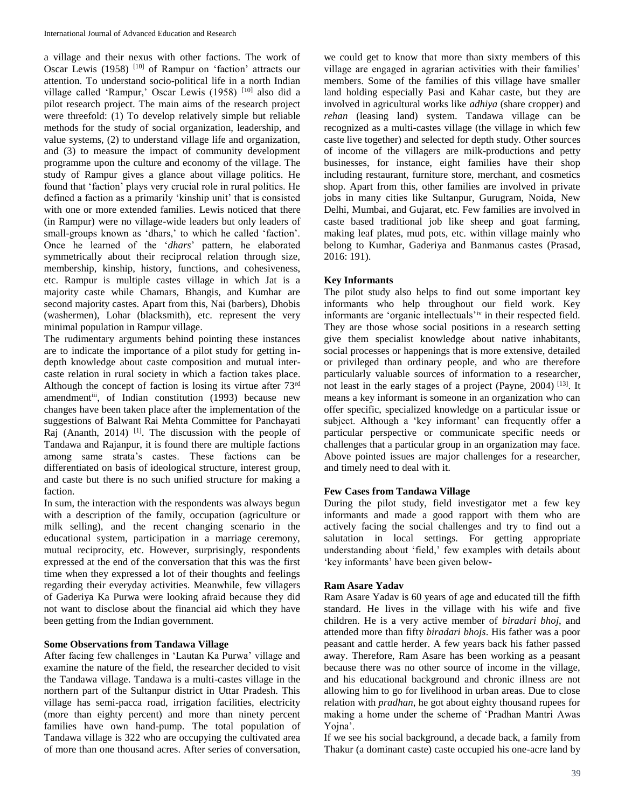a village and their nexus with other factions. The work of Oscar Lewis (1958) [10] of Rampur on 'faction' attracts our attention. To understand socio-political life in a north Indian village called 'Rampur,' Oscar Lewis (1958)<sup>[10]</sup> also did a pilot research project. The main aims of the research project were threefold: (1) To develop relatively simple but reliable methods for the study of social organization, leadership, and value systems, (2) to understand village life and organization, and (3) to measure the impact of community development programme upon the culture and economy of the village. The study of Rampur gives a glance about village politics. He found that 'faction' plays very crucial role in rural politics. He defined a faction as a primarily 'kinship unit' that is consisted with one or more extended families. Lewis noticed that there (in Rampur) were no village-wide leaders but only leaders of small-groups known as 'dhars,' to which he called 'faction'. Once he learned of the '*dhars*' pattern, he elaborated symmetrically about their reciprocal relation through size, membership, kinship, history, functions, and cohesiveness, etc. Rampur is multiple castes village in which Jat is a majority caste while Chamars, Bhangis, and Kumhar are second majority castes. Apart from this, Nai (barbers), Dhobis (washermen), Lohar (blacksmith), etc. represent the very minimal population in Rampur village.

The rudimentary arguments behind pointing these instances are to indicate the importance of a pilot study for getting indepth knowledge about caste composition and mutual intercaste relation in rural society in which a faction takes place. Although the concept of faction is losing its virtue after 73rd amendmentiii, of Indian constitution (1993) because new changes have been taken place after the implementation of the suggestions of Balwant Rai Mehta Committee for Panchayati Raj (Ananth,  $2014$ ) <sup>[1]</sup>. The discussion with the people of Tandawa and Rajanpur, it is found there are multiple factions among same strata's castes. These factions can be differentiated on basis of ideological structure, interest group, and caste but there is no such unified structure for making a faction.

In sum, the interaction with the respondents was always begun with a description of the family, occupation (agriculture or milk selling), and the recent changing scenario in the educational system, participation in a marriage ceremony, mutual reciprocity, etc. However, surprisingly, respondents expressed at the end of the conversation that this was the first time when they expressed a lot of their thoughts and feelings regarding their everyday activities. Meanwhile, few villagers of Gaderiya Ka Purwa were looking afraid because they did not want to disclose about the financial aid which they have been getting from the Indian government.

### **Some Observations from Tandawa Village**

After facing few challenges in 'Lautan Ka Purwa' village and examine the nature of the field, the researcher decided to visit the Tandawa village. Tandawa is a multi-castes village in the northern part of the Sultanpur district in Uttar Pradesh. This village has semi-pacca road, irrigation facilities, electricity (more than eighty percent) and more than ninety percent families have own hand-pump. The total population of Tandawa village is 322 who are occupying the cultivated area of more than one thousand acres. After series of conversation,

we could get to know that more than sixty members of this village are engaged in agrarian activities with their families' members. Some of the families of this village have smaller land holding especially Pasi and Kahar caste, but they are involved in agricultural works like *adhiya* (share cropper) and *rehan* (leasing land) system. Tandawa village can be recognized as a multi*-*castes village (the village in which few caste live together) and selected for depth study. Other sources of income of the villagers are milk-productions and petty businesses, for instance, eight families have their shop including restaurant, furniture store, merchant, and cosmetics shop. Apart from this, other families are involved in private jobs in many cities like Sultanpur, Gurugram, Noida, New Delhi, Mumbai, and Gujarat, etc. Few families are involved in caste based traditional job like sheep and goat farming, making leaf plates, mud pots, etc. within village mainly who belong to Kumhar, Gaderiya and Banmanus castes (Prasad, 2016: 191).

## **Key Informants**

The pilot study also helps to find out some important key informants who help throughout our field work. Key informants are 'organic intellectuals'iv in their respected field. They are those whose social positions in a research setting give them specialist knowledge about native inhabitants, social processes or happenings that is more extensive, detailed or privileged than ordinary people, and who are therefore particularly valuable sources of information to a researcher, not least in the early stages of a project (Payne, 2004)<sup>[13]</sup>. It means a key informant is someone in an organization who can offer specific, specialized knowledge on a particular issue or subject. Although a 'key informant' can frequently offer a particular perspective or communicate specific needs or challenges that a particular group in an organization may face. Above pointed issues are major challenges for a researcher, and timely need to deal with it.

### **Few Cases from Tandawa Village**

During the pilot study, field investigator met a few key informants and made a good rapport with them who are actively facing the social challenges and try to find out a salutation in local settings. For getting appropriate understanding about 'field,' few examples with details about 'key informants' have been given below-

### **Ram Asare Yadav**

Ram Asare Yadav is 60 years of age and educated till the fifth standard. He lives in the village with his wife and five children. He is a very active member of *biradari bhoj*, and attended more than fifty *biradari bhojs*. His father was a poor peasant and cattle herder. A few years back his father passed away. Therefore, Ram Asare has been working as a peasant because there was no other source of income in the village, and his educational background and chronic illness are not allowing him to go for livelihood in urban areas. Due to close relation with *pradhan*, he got about eighty thousand rupees for making a home under the scheme of 'Pradhan Mantri Awas Yojna'.

If we see his social background, a decade back, a family from Thakur (a dominant caste) caste occupied his one-acre land by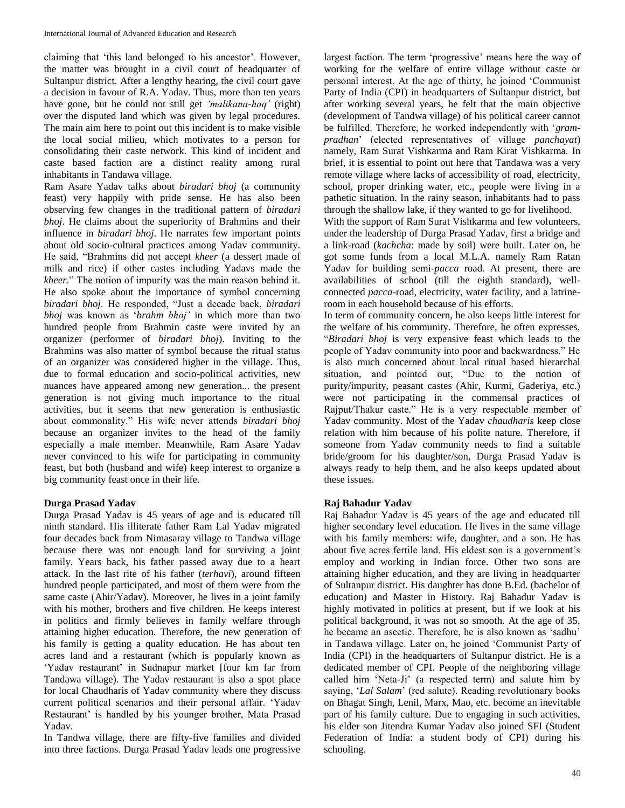claiming that 'this land belonged to his ancestor'. However, the matter was brought in a civil court of headquarter of Sultanpur district. After a lengthy hearing, the civil court gave a decision in favour of R.A. Yadav. Thus, more than ten years have gone, but he could not still get *'malikana-haq'* (right) over the disputed land which was given by legal procedures. The main aim here to point out this incident is to make visible the local social milieu, which motivates to a person for consolidating their caste network. This kind of incident and caste based faction are a distinct reality among rural inhabitants in Tandawa village.

Ram Asare Yadav talks about *biradari bhoj* (a community feast) very happily with pride sense. He has also been observing few changes in the traditional pattern of *biradari bhoj*. He claims about the superiority of Brahmins and their influence in *biradari bhoj*. He narrates few important points about old socio-cultural practices among Yadav community. He said, "Brahmins did not accept *kheer* (a dessert made of milk and rice) if other castes including Yadavs made the *kheer*." The notion of impurity was the main reason behind it. He also spoke about the importance of symbol concerning *biradari bhoj*. He responded, "Just a decade back, *biradari bhoj* was known as '*brahm bhoj'* in which more than two hundred people from Brahmin caste were invited by an organizer (performer of *biradari bhoj*). Inviting to the Brahmins was also matter of symbol because the ritual status of an organizer was considered higher in the village. Thus, due to formal education and socio-political activities, new nuances have appeared among new generation... the present generation is not giving much importance to the ritual activities, but it seems that new generation is enthusiastic about commonality." His wife never attends *biradari bhoj* because an organizer invites to the head of the family especially a male member. Meanwhile, Ram Asare Yadav never convinced to his wife for participating in community feast, but both (husband and wife) keep interest to organize a big community feast once in their life.

## **Durga Prasad Yadav**

Durga Prasad Yadav is 45 years of age and is educated till ninth standard. His illiterate father Ram Lal Yadav migrated four decades back from Nimasaray village to Tandwa village because there was not enough land for surviving a joint family. Years back, his father passed away due to a heart attack. In the last rite of his father (*terhavi*), around fifteen hundred people participated, and most of them were from the same caste (Ahir/Yadav). Moreover, he lives in a joint family with his mother, brothers and five children. He keeps interest in politics and firmly believes in family welfare through attaining higher education. Therefore, the new generation of his family is getting a quality education. He has about ten acres land and a restaurant (which is popularly known as 'Yadav restaurant' in Sudnapur market [four km far from Tandawa village). The Yadav restaurant is also a spot place for local Chaudharis of Yadav community where they discuss current political scenarios and their personal affair. 'Yadav Restaurant' is handled by his younger brother, Mata Prasad Yadav.

In Tandwa village, there are fifty-five families and divided into three factions. Durga Prasad Yadav leads one progressive

largest faction. The term 'progressive' means here the way of working for the welfare of entire village without caste or personal interest. At the age of thirty, he joined 'Communist Party of India (CPI) in headquarters of Sultanpur district, but after working several years, he felt that the main objective (development of Tandwa village) of his political career cannot be fulfilled. Therefore, he worked independently with '*grampradhan*' (elected representatives of village *panchayat*) namely, Ram Surat Vishkarma and Ram Kirat Vishkarma. In brief, it is essential to point out here that Tandawa was a very remote village where lacks of accessibility of road, electricity, school, proper drinking water, etc., people were living in a pathetic situation. In the rainy season, inhabitants had to pass through the shallow lake, if they wanted to go for livelihood.

With the support of Ram Surat Vishkarma and few volunteers, under the leadership of Durga Prasad Yadav, first a bridge and a link-road (*kachcha*: made by soil) were built. Later on, he got some funds from a local M.L.A. namely Ram Ratan Yadav for building semi-*pacca* road. At present, there are availabilities of school (till the eighth standard), wellconnected *pacca*-road, electricity, water facility, and a latrineroom in each household because of his efforts.

In term of community concern, he also keeps little interest for the welfare of his community. Therefore, he often expresses, "*Biradari bhoj* is very expensive feast which leads to the people of Yadav community into poor and backwardness." He is also much concerned about local ritual based hierarchal situation, and pointed out, "Due to the notion of purity/impurity, peasant castes (Ahir, Kurmi, Gaderiya, etc.) were not participating in the commensal practices of Rajput/Thakur caste." He is a very respectable member of Yadav community. Most of the Yadav *chaudharis* keep close relation with him because of his polite nature. Therefore, if someone from Yadav community needs to find a suitable bride/groom for his daughter/son, Durga Prasad Yadav is always ready to help them, and he also keeps updated about these issues.

### **Raj Bahadur Yadav**

Raj Bahadur Yadav is 45 years of the age and educated till higher secondary level education. He lives in the same village with his family members: wife, daughter, and a son. He has about five acres fertile land. His eldest son is a government's employ and working in Indian force. Other two sons are attaining higher education, and they are living in headquarter of Sultanpur district. His daughter has done B.Ed. (bachelor of education) and Master in History. Raj Bahadur Yadav is highly motivated in politics at present, but if we look at his political background, it was not so smooth. At the age of 35, he became an ascetic. Therefore, he is also known as 'sadhu' in Tandawa village. Later on, he joined 'Communist Party of India (CPI) in the headquarters of Sultanpur district. He is a dedicated member of CPI. People of the neighboring village called him 'Neta-Ji' (a respected term) and salute him by saying, '*Lal Salam*' (red salute). Reading revolutionary books on Bhagat Singh, Lenil, Marx, Mao, etc. become an inevitable part of his family culture. Due to engaging in such activities, his elder son Jitendra Kumar Yadav also joined SFI (Student Federation of India: a student body of CPI) during his schooling.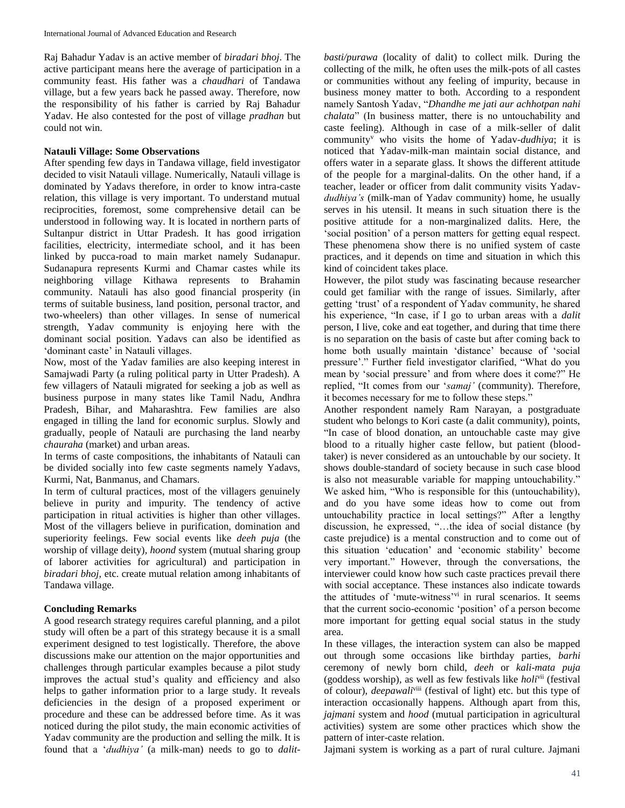Raj Bahadur Yadav is an active member of *biradari bhoj*. The active participant means here the average of participation in a community feast. His father was a *chaudhari* of Tandawa village, but a few years back he passed away. Therefore, now the responsibility of his father is carried by Raj Bahadur Yadav. He also contested for the post of village *pradhan* but could not win.

### **Natauli Village: Some Observations**

After spending few days in Tandawa village, field investigator decided to visit Natauli village. Numerically, Natauli village is dominated by Yadavs therefore, in order to know intra-caste relation, this village is very important. To understand mutual reciprocities, foremost, some comprehensive detail can be understood in following way. It is located in northern parts of Sultanpur district in Uttar Pradesh. It has good irrigation facilities, electricity, intermediate school, and it has been linked by pucca-road to main market namely Sudanapur. Sudanapura represents Kurmi and Chamar castes while its neighboring village Kithawa represents to Brahamin community. Natauli has also good financial prosperity (in terms of suitable business, land position, personal tractor, and two-wheelers) than other villages. In sense of numerical strength, Yadav community is enjoying here with the dominant social position. Yadavs can also be identified as 'dominant caste' in Natauli villages.

Now, most of the Yadav families are also keeping interest in Samajwadi Party (a ruling political party in Utter Pradesh). A few villagers of Natauli migrated for seeking a job as well as business purpose in many states like Tamil Nadu, Andhra Pradesh, Bihar, and Maharashtra. Few families are also engaged in tilling the land for economic surplus. Slowly and gradually, people of Natauli are purchasing the land nearby *chauraha* (market) and urban areas.

In terms of caste compositions, the inhabitants of Natauli can be divided socially into few caste segments namely Yadavs, Kurmi, Nat, Banmanus, and Chamars.

In term of cultural practices, most of the villagers genuinely believe in purity and impurity. The tendency of active participation in ritual activities is higher than other villages. Most of the villagers believe in purification, domination and superiority feelings. Few social events like *deeh puja* (the worship of village deity)*, hoond* system (mutual sharing group of laborer activities for agricultural) and participation in *biradari bhoj,* etc. create mutual relation among inhabitants of Tandawa village.

## **Concluding Remarks**

A good research strategy requires careful planning, and a pilot study will often be a part of this strategy because it is a small experiment designed to test logistically. Therefore, the above discussions make our attention on the major opportunities and challenges through particular examples because a pilot study improves the actual stud's quality and efficiency and also helps to gather information prior to a large study. It reveals deficiencies in the design of a proposed experiment or procedure and these can be addressed before time. As it was noticed during the pilot study, the main economic activities of Yadav community are the production and selling the milk. It is found that a '*dudhiya'* (a milk-man) needs to go to *dalit*-

*basti/purawa* (locality of dalit) to collect milk. During the collecting of the milk, he often uses the milk-pots of all castes or communities without any feeling of impurity, because in business money matter to both. According to a respondent namely Santosh Yadav, "*Dhandhe me jati aur achhotpan nahi chalata*" (In business matter, there is no untouchability and caste feeling). Although in case of a milk-seller of dalit community<sup>v</sup> who visits the home of Yadav-*dudhiya*; it is noticed that Yadav-milk-man maintain social distance, and offers water in a separate glass. It shows the different attitude of the people for a marginal-dalits. On the other hand, if a teacher, leader or officer from dalit community visits Yadav*dudhiya's* (milk-man of Yadav community) home, he usually serves in his utensil. It means in such situation there is the positive attitude for a non-marginalized dalits. Here, the 'social position' of a person matters for getting equal respect. These phenomena show there is no unified system of caste practices, and it depends on time and situation in which this kind of coincident takes place.

However, the pilot study was fascinating because researcher could get familiar with the range of issues. Similarly, after getting 'trust' of a respondent of Yadav community, he shared his experience, "In case, if I go to urban areas with a *dalit* person, I live, coke and eat together, and during that time there is no separation on the basis of caste but after coming back to home both usually maintain 'distance' because of 'social pressure'." Further field investigator clarified, "What do you mean by 'social pressure' and from where does it come?" He replied, "It comes from our '*samaj'* (community). Therefore, it becomes necessary for me to follow these steps."

Another respondent namely Ram Narayan, a postgraduate student who belongs to Kori caste (a dalit community), points, "In case of blood donation, an untouchable caste may give blood to a ritually higher caste fellow, but patient (bloodtaker) is never considered as an untouchable by our society. It shows double-standard of society because in such case blood is also not measurable variable for mapping untouchability." We asked him, "Who is responsible for this (untouchability), and do you have some ideas how to come out from untouchability practice in local settings?" After a lengthy discussion, he expressed, "…the idea of social distance (by caste prejudice) is a mental construction and to come out of this situation 'education' and 'economic stability' become very important." However, through the conversations, the interviewer could know how such caste practices prevail there

with social acceptance. These instances also indicate towards the attitudes of 'mute-witness'vi in rural scenarios. It seems that the current socio-economic 'position' of a person become more important for getting equal social status in the study area.

In these villages, the interaction system can also be mapped out through some occasions like birthday parties, *barhi*  ceremony of newly born child, *deeh* or *kali*-*mata puja* (goddess worship), as well as few festivals like *holi*vii (festival of colour), *deepawali*viii (festival of light) etc. but this type of interaction occasionally happens. Although apart from this, *jajmani* system and *hood* (mutual participation in agricultural activities) system are some other practices which show the pattern of inter-caste relation.

Jajmani system is working as a part of rural culture. Jajmani